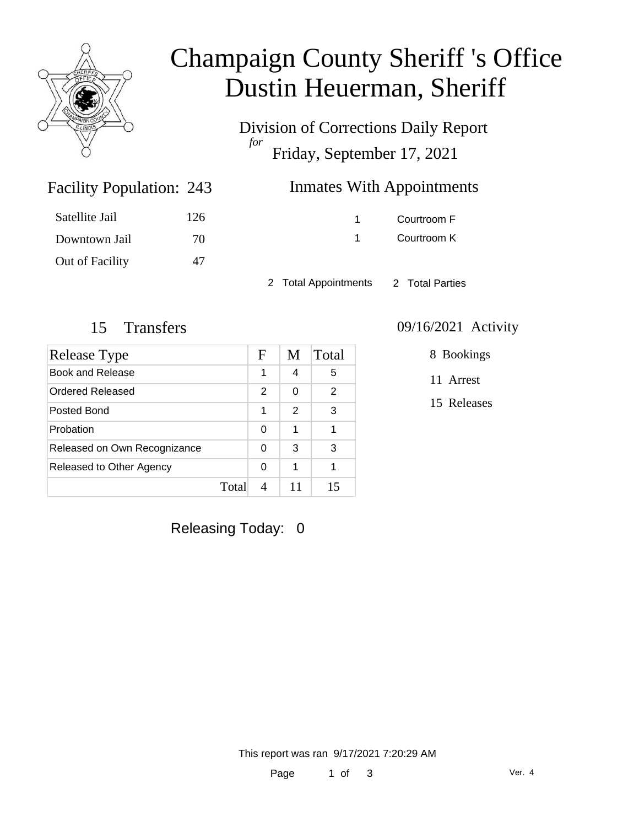

# Champaign County Sheriff 's Office Dustin Heuerman, Sheriff

Division of Corrections Daily Report *for* Friday, September 17, 2021

# Inmates With Appointments

| Satellite Jail  | 126 |
|-----------------|-----|
| Downtown Jail   | 70  |
| Out of Facility | 47  |

Facility Population: 243

1 Courtroom F 1 Courtroom K

2 Total Appointments 2 Total Parties

### 15 Transfers 09/16/2021 Activity

| Release Type                 |       | F              | M             | Total |
|------------------------------|-------|----------------|---------------|-------|
| Book and Release             |       | 1              | 4             | 5     |
| Ordered Released             |       | $\mathfrak{p}$ | 0             | 2     |
| Posted Bond                  |       | 1              | $\mathcal{P}$ | 3     |
| Probation                    |       | 0              | 1             | 1     |
| Released on Own Recognizance |       | 0              | 3             | 3     |
| Released to Other Agency     |       | 0              | 1             |       |
|                              | Total |                |               | 15    |

### 8 Bookings

11 Arrest

15 Releases

Releasing Today: 0

This report was ran 9/17/2021 7:20:29 AM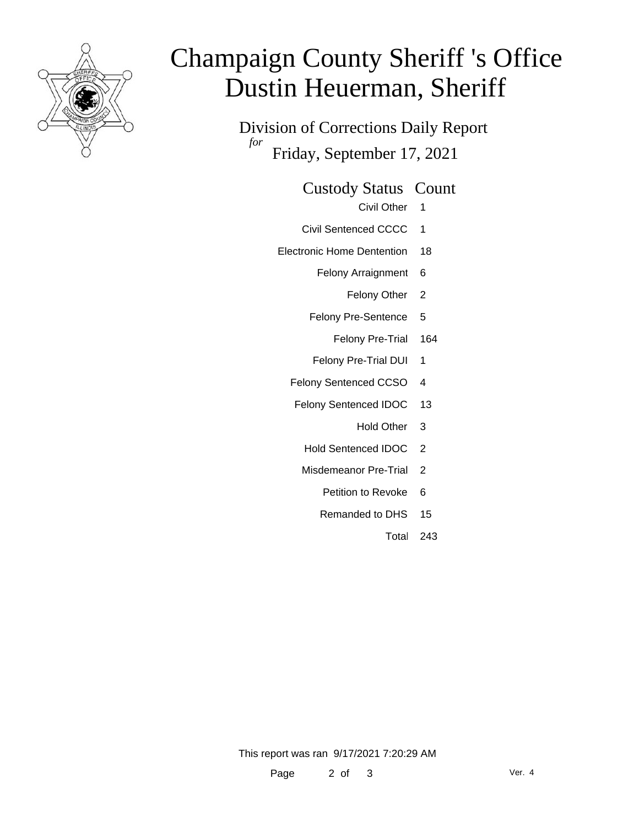

# Champaign County Sheriff 's Office Dustin Heuerman, Sheriff

Division of Corrections Daily Report *for* Friday, September 17, 2021

Custody Status Count

- Civil Other 1
- Civil Sentenced CCCC 1
- Electronic Home Dentention 18
	- Felony Arraignment 6
		- Felony Other 2
	- Felony Pre-Sentence 5
		- Felony Pre-Trial 164
	- Felony Pre-Trial DUI 1
	- Felony Sentenced CCSO 4
	- Felony Sentenced IDOC 13
		- Hold Other 3
		- Hold Sentenced IDOC 2
		- Misdemeanor Pre-Trial 2
			- Petition to Revoke 6
			- Remanded to DHS 15
				- Total 243

This report was ran 9/17/2021 7:20:29 AM